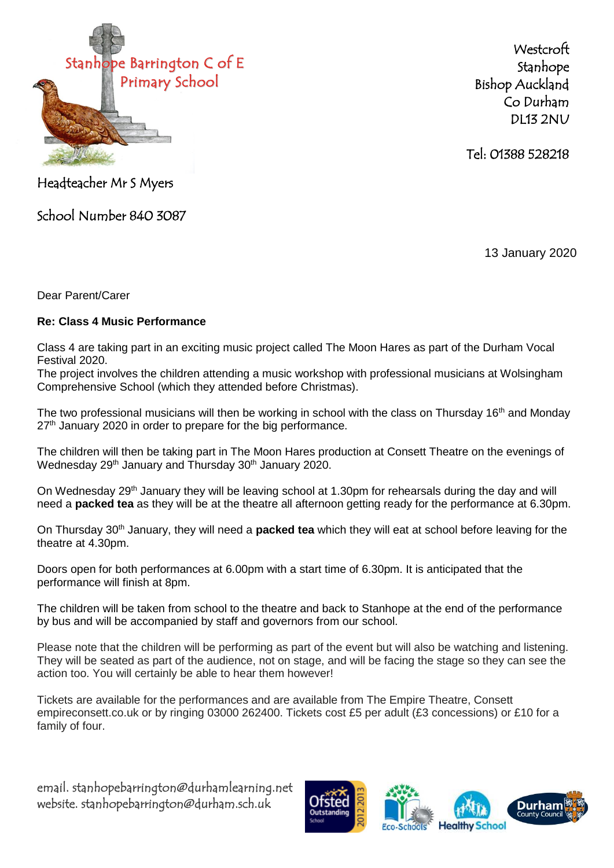

**Westcroft** Stanhope Bishop Auckland Co Durham DL13 2NU

Tel: 01388 528218

Headteacher Mr S Myers

School Number 840 3087

13 January 2020

Dear Parent/Carer

## **Re: Class 4 Music Performance**

Class 4 are taking part in an exciting music project called The Moon Hares as part of the Durham Vocal Festival 2020.

The project involves the children attending a music workshop with professional musicians at Wolsingham Comprehensive School (which they attended before Christmas).

The two professional musicians will then be working in school with the class on Thursday 16<sup>th</sup> and Monday 27<sup>th</sup> January 2020 in order to prepare for the big performance.

The children will then be taking part in The Moon Hares production at Consett Theatre on the evenings of Wednesday 29<sup>th</sup> January and Thursday 30<sup>th</sup> January 2020.

On Wednesday 29<sup>th</sup> January they will be leaving school at 1.30pm for rehearsals during the day and will need a **packed tea** as they will be at the theatre all afternoon getting ready for the performance at 6.30pm.

On Thursday 30<sup>th</sup> January, they will need a **packed tea** which they will eat at school before leaving for the theatre at 4.30pm.

Doors open for both performances at 6.00pm with a start time of 6.30pm. It is anticipated that the performance will finish at 8pm.

The children will be taken from school to the theatre and back to Stanhope at the end of the performance by bus and will be accompanied by staff and governors from our school.

Please note that the children will be performing as part of the event but will also be watching and listening. They will be seated as part of the audience, not on stage, and will be facing the stage so they can see the action too. You will certainly be able to hear them however!

Tickets are available for the performances and are available from The Empire Theatre, Consett empireconsett.co.uk or by ringing 03000 262400. Tickets cost £5 per adult (£3 concessions) or £10 for a family of four.

email. stanhopebarrington@durhamlearning.net website. stanhopebarrington@durham.sch.uk